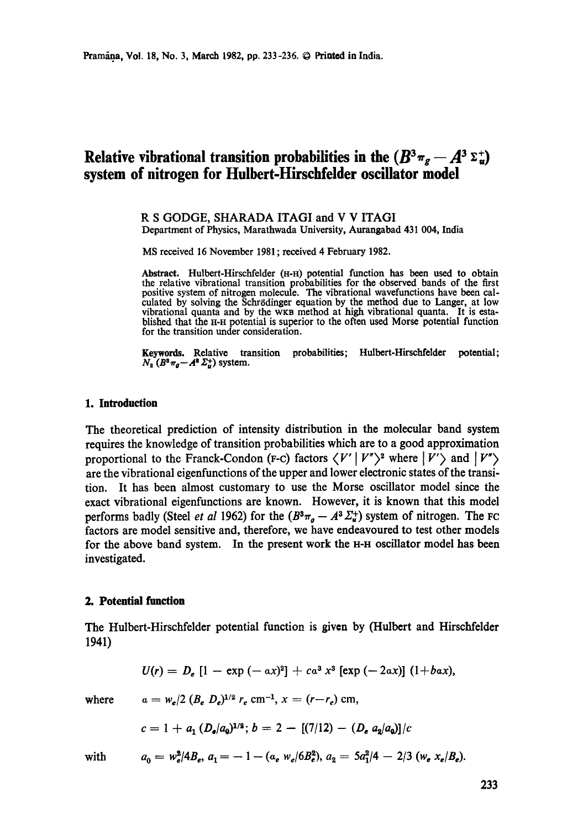# **Relative vibrational transition probabilities in the**  $(B^3\pi_g - A^3 \Sigma^+_n)$ **system of nitrogen for Hulbert-Hirschfelder oscillator model**

#### **R S GODGE, SHARADA** ITAGI and **V V** ITAGI Department of Physics, Marathwada University, Aurangabad 431 004, India

MS received 16 November 1981 ; received 4 February 1982.

**Abstract.** Hulbert-Hirschfelder (H-H) potential function has been used to obtain the relative vibrational transition probabilities for the observed bands of the first positive system of nitrogen molecule. The vibrational wavefunctions have been calculated by solving the Schr6dinger equation by the method due to Langer, at low vibrational quanta and by the WKB method at high vibrational quanta. It is established that the H-H potential is superior to the often used Morse potential function for the transition under consideration.

**Keywords.** Relative transition probabilities; Hulbert-Hirschfelder potential;  $N_{\rm s}$   $(B^3 \pi_g - A^8 \Sigma_u^+)$  system.

#### 1. Introduction

The theoretical prediction of intensity distribution in the molecular band system requires the knowledge of transition probabilities which are to a good approximation proportional to the Franck-Condon (F-c) factors  $\langle V' | V'' \rangle^2$  where  $|V' \rangle$  and  $|V'' \rangle$ are the vibrational eigenfunctions of the upper and lower electronic states of the transition. It has been almost customary to use the Morse oscillator model since the exact vibrational eigenfunctions are known. However, it is known that this model performs badly (Steel *et al* 1962) for the  $(B^{3}\pi_{a} - A^{3}\Sigma_{u}^{+})$  system of nitrogen. The FC factors are model sensitive and, therefore, we have endeavoured to test other models for the above band system. In the present work the H-H oscillator model has been investigated.

## **2. Potential function**

The Hulbert-Hirschfelder potential function is given by (Hulbert and Hirschfelder 1941)

$$
U(r) = D_e [1 - \exp(-ax)^2] + ca^3 x^3 [\exp(-2ax)] (1+ba x),
$$

where 
$$
a = w_e/2 (B_e D_e)^{1/2} r_e \text{ cm}^{-1}, x = (r - r_e) \text{ cm},
$$

$$
c = 1 + a_1 \left(D_e/a_0\right)^{1/2}; b = 2 - \left[(7/12) - \left(D_e a_2/a_0\right)\right]/c
$$

with  $a_0 = w_a^2/4B_e$ ,  $a_1 = -1 - (a_e w_e/6B_e^2)$ ,  $a_2 = 5a_1^2/4 - 2/3$   $(w_e x_e/B_e)$ .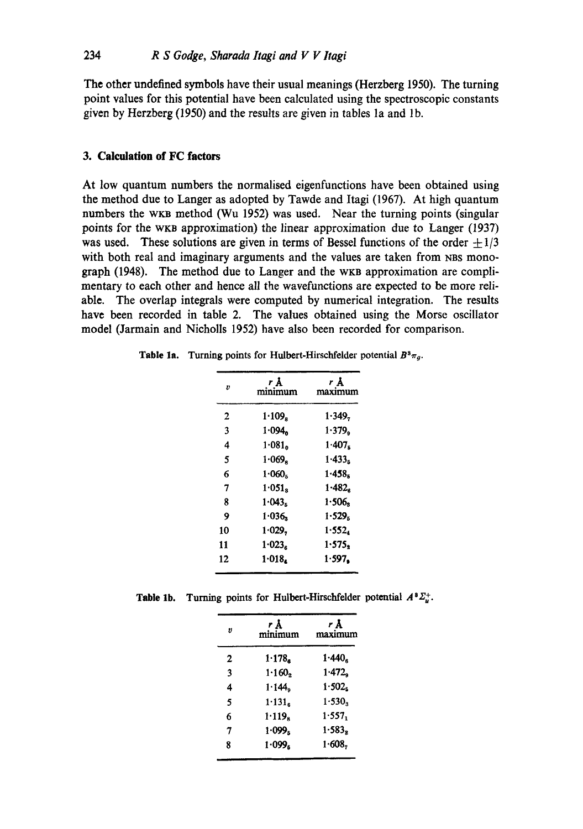The other undefined symbols have their usual meanings (Herzberg 1950). The turning point values for this potential have been calculated using the spectroscopic constants given by Herzberg (1950) and the results are given in tables 1a and 1b.

# **3. Calculation of FC factors**

At low quantum numbers the normalised cigenfunctions have been obtained using the method due to Langcr as adopted by Tawde and Itagi (1967). At high quantum numbers the wkB method (Wu 1952) was used. Near the turning points (singular points for the WKB approximation) the linear approximation due to Langer (1937) was used. These solutions are given in terms of Bessel functions of the order  $\pm 1/3$ with both real and imaginary arguments and the values are taken from NBS monograph (1948). The method due to Langer and the WKB approximation are complimentary to each other and hence all the wavefunctions are expected to be more reliable. The overlap integrals were computed by numerical integration. The results have been recorded in table 2. The values obtained using the Morse oscillator model (Jarmain and Nicholls 1952) have also been recorded for comparison.

| Table 1a. |  | Turning points for Hulbert-Hirschfelder potential $B^3\pi_g$ . |  |
|-----------|--|----------------------------------------------------------------|--|
|-----------|--|----------------------------------------------------------------|--|

| Ð  | rĀ<br>minimum      | r Å<br>maximum |  |  |
|----|--------------------|----------------|--|--|
| 2  | 1.109.             | 1.349,         |  |  |
| 3  | 1.094              | 1.379.         |  |  |
| 4  | 1.081              | 1.407.         |  |  |
| 5  | 1.069              | 1.433.         |  |  |
| 6  | 1.060 <sub>5</sub> | 1.458.         |  |  |
| 7  | 1.051 <sub>s</sub> | $1 - 482.$     |  |  |
| 8  | 1.043 <sub>5</sub> | 1.506          |  |  |
| 9  | 1.036              | 1.529.         |  |  |
| 10 | 1.029.             | 1.552.         |  |  |
| 11 | 1.023 <sub>e</sub> | 1.575.         |  |  |
| 12 | 1.018.             | 1.597.         |  |  |

**Table 1b.** Turning points for Hulbert-Hirschfelder potential  $A^2 \Sigma_u^+$ .

| minimum            | r Å<br>maximum       |  |  |
|--------------------|----------------------|--|--|
| 1.178              | $1.440$ <sub>s</sub> |  |  |
| 1.160,             | $1.472$ <sub>9</sub> |  |  |
| 1.144              | 1.502 <sub>5</sub>   |  |  |
| 1.131 <sub>6</sub> | 1.530 <sub>3</sub>   |  |  |
| 1.119.             | 1.557.               |  |  |
| 1.099 <sub>5</sub> | 1.583                |  |  |
| 1.099 <sub>s</sub> | 1.608,               |  |  |
|                    |                      |  |  |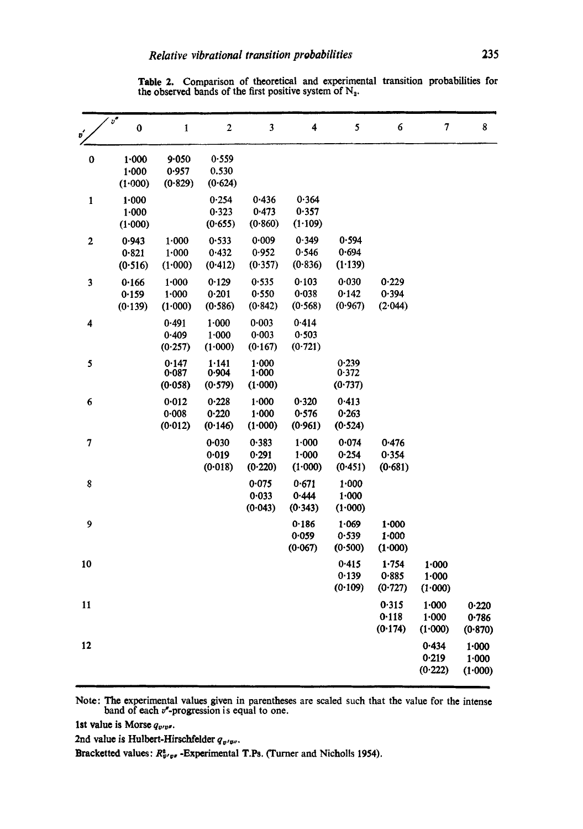Table 2. Comparison of theoretical and experimental transition probabilities for the observed bands of the first positive system of  $N_a$ .

| $v^{\prime}$            | $v^\bullet$<br>$\bf{0}$           | $\mathbf{1}$                  | $\mathbf{2}$              | 3                             | 4                                 | 5                             | $\boldsymbol{6}$                  | $\overline{7}$                | 8                                 |
|-------------------------|-----------------------------------|-------------------------------|---------------------------|-------------------------------|-----------------------------------|-------------------------------|-----------------------------------|-------------------------------|-----------------------------------|
| 0                       | 1.000<br>1.000<br>(1.000)         | 9.050<br>0.957<br>(0.829)     | 0.559<br>0.530<br>(0.624) |                               |                                   |                               |                                   |                               |                                   |
| $\mathbf{1}$            | $1 - 000$<br>$1 - 000$<br>(1.000) |                               | 0.254<br>0.323<br>(0.655) | 0.436<br>0.473<br>(0.860)     | 0.364<br>0.357<br>(1.109)         |                               |                                   |                               |                                   |
| $\overline{\mathbf{c}}$ | 0.943<br>0.821<br>(0.516)         | 1.000<br>1.000<br>(1.000)     | 0.533<br>0.432<br>(0.412) | 0.009<br>0.952<br>(0.357)     | 0.349<br>0.546<br>(0.836)         | 0.594<br>0.694<br>(1.139)     |                                   |                               |                                   |
| 3                       | 0.166<br>0.159<br>(0.139)         | 1.000<br>$1 - 000$<br>(1.000) | 0.129<br>0.201<br>(0.586) | 0.535<br>0.550<br>(0.842)     | 0.103<br>0.038<br>(0.568)         | 0.030<br>0.142<br>(0.967)     | 0.229<br>0.394<br>(2.044)         |                               |                                   |
| 4                       |                                   | 0.491<br>0.409<br>(0.257)     | 1.000<br>1.000<br>(1.000) | 0.003<br>$0 - 003$<br>(0.167) | 0.414<br>0.503<br>(0.721)         |                               |                                   |                               |                                   |
| 5                       |                                   | 0.147<br>0.087<br>(0.058)     | 1.141<br>0.904<br>(0.579) | 1.000<br>1:000<br>(1.000)     |                                   | 0.239<br>0.372<br>(0.737)     |                                   |                               |                                   |
| 6                       |                                   | 0.012<br>0.008<br>(0.012)     | 0.228<br>0.220<br>(0.146) | 1.000<br>1.000<br>(1.000)     | 0.320<br>0.576<br>(0.961)         | 0.413<br>0.263<br>(0.524)     |                                   |                               |                                   |
| 7                       |                                   |                               | 0.030<br>0.019<br>(0.018) | 0.383<br>0.291<br>(0.220)     | $1 - 000$<br>$1 - 000$<br>(1.000) | 0.074<br>0.254<br>(0.451)     | 0.476<br>0.354<br>(0.681)         |                               |                                   |
| 8                       |                                   |                               |                           | 0.075<br>0.033<br>(0.043)     | 0.671<br>0.444<br>(0.343)         | $1 - 000$<br>1.000<br>(1.000) |                                   |                               |                                   |
| 9                       |                                   |                               |                           |                               | 0.186<br>0.059<br>(0.067)         | 1.069<br>0.539<br>(0.500)     | $1 - 000$<br>$1 - 000$<br>(1.000) |                               |                                   |
| 10                      |                                   |                               |                           |                               |                                   | 0.415<br>0.139<br>(0.109)     | 1.754<br>0.885<br>(0.727)         | 1.000<br>$1 - 000$<br>(1.000) |                                   |
| 11                      |                                   |                               |                           |                               |                                   |                               | 0.315<br>0.118<br>(0.174)         | $1 - 000$<br>1.000<br>(1.000) | 0.220<br>0.786<br>(0.870)         |
| 12                      |                                   |                               |                           |                               |                                   |                               |                                   | 0.434<br>0.219<br>(0.222)     | $1 - 000$<br>$1 - 000$<br>(1.000) |

Note: The experimental values given in parentheses are scaled such that the value for the intense band of each  $v^*$ -progression is equal to one.

1st value is Morse  $q_{v/v}$ .

2nd value is Hulbert-Hirschfelder  $q_{v'w''}$ .

Bracketted values:  $R^*_{v'vv}$  -Experimental T.Ps. (Turner and Nicholls 1954).